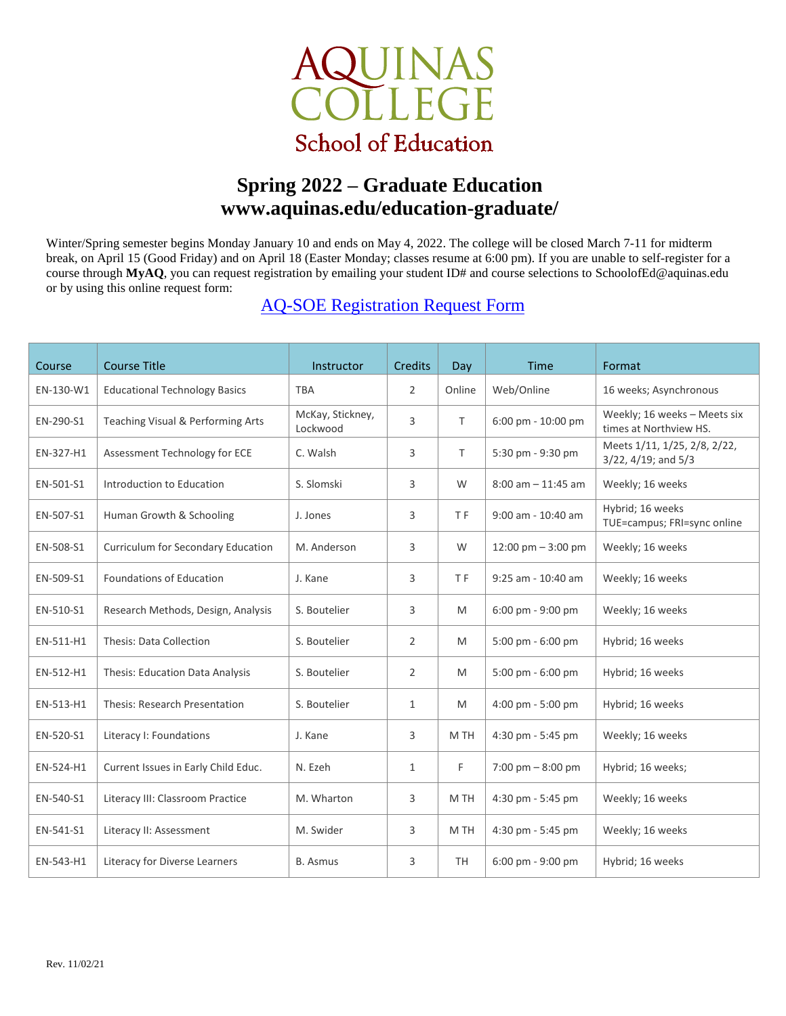

## **Spring 2022 – Graduate Education www.aquinas.edu/education-graduate/**

Winter/Spring semester begins Monday January 10 and ends on May 4, 2022. The college will be closed March 7-11 for midterm break, on April 15 (Good Friday) and on April 18 (Easter Monday; classes resume at 6:00 pm). If you are unable to self-register for a course through **MyAQ**, you can request registration by emailing your student ID# and course selections to SchoolofEd@aquinas.edu or by using this online request form:

## [AQ-SOE Registration Request Form](https://docs.google.com/forms/d/e/1FAIpQLSf7bYxY_C1k0Ntl8ynf93CgCoJ-zzxtLyRCV1C02u2os8grMg/viewform?usp=sf_link)

| Course    | <b>Course Title</b>                  | Instructor                   | <b>Credits</b> | Day       | <b>Time</b>                         | Format                                                      |
|-----------|--------------------------------------|------------------------------|----------------|-----------|-------------------------------------|-------------------------------------------------------------|
| EN-130-W1 | <b>Educational Technology Basics</b> | <b>TBA</b>                   | $\overline{2}$ | Online    | Web/Online                          | 16 weeks; Asynchronous                                      |
| EN-290-S1 | Teaching Visual & Performing Arts    | McKay, Stickney,<br>Lockwood | 3              | T.        | 6:00 pm - 10:00 pm                  | Weekly; 16 weeks - Meets six<br>times at Northview HS.      |
| EN-327-H1 | Assessment Technology for ECE        | C. Walsh                     | 3              | T.        | 5:30 pm - 9:30 pm                   | Meets 1/11, 1/25, 2/8, 2/22,<br>$3/22$ , $4/19$ ; and $5/3$ |
| EN-501-S1 | Introduction to Education            | S. Slomski                   | 3              | W         | $8:00$ am $-11:45$ am               | Weekly; 16 weeks                                            |
| EN-507-S1 | Human Growth & Schooling             | J. Jones                     | 3              | <b>TF</b> | 9:00 am - 10:40 am                  | Hybrid; 16 weeks<br>TUE=campus; FRI=sync online             |
| EN-508-S1 | Curriculum for Secondary Education   | M. Anderson                  | 3              | W         | 12:00 pm $-3:00$ pm                 | Weekly; 16 weeks                                            |
| EN-509-S1 | Foundations of Education             | J. Kane                      | 3              | <b>TF</b> | 9:25 am - 10:40 am                  | Weekly; 16 weeks                                            |
| EN-510-S1 | Research Methods, Design, Analysis   | S. Boutelier                 | 3              | M         | 6:00 pm - 9:00 pm                   | Weekly; 16 weeks                                            |
| EN-511-H1 | <b>Thesis: Data Collection</b>       | S. Boutelier                 | $\overline{2}$ | M         | 5:00 pm - 6:00 pm                   | Hybrid; 16 weeks                                            |
| EN-512-H1 | Thesis: Education Data Analysis      | S. Boutelier                 | $\overline{2}$ | M         | 5:00 pm $-6:00$ pm                  | Hybrid; 16 weeks                                            |
| EN-513-H1 | Thesis: Research Presentation        | S. Boutelier                 | $\mathbf{1}$   | M         | 4:00 pm - 5:00 pm                   | Hybrid; 16 weeks                                            |
| EN-520-S1 | Literacy I: Foundations              | J. Kane                      | 3              | M TH      | 4:30 pm - 5:45 pm                   | Weekly; 16 weeks                                            |
| EN-524-H1 | Current Issues in Early Child Educ.  | N. Ezeh                      | $\mathbf{1}$   | F         | $7:00 \text{ pm} - 8:00 \text{ pm}$ | Hybrid; 16 weeks;                                           |
| EN-540-S1 | Literacy III: Classroom Practice     | M. Wharton                   | 3              | M TH      | 4:30 pm - 5:45 pm                   | Weekly; 16 weeks                                            |
| EN-541-S1 | Literacy II: Assessment              | M. Swider                    | 3              | M TH      | 4:30 pm - 5:45 pm                   | Weekly; 16 weeks                                            |
| EN-543-H1 | Literacy for Diverse Learners        | <b>B.</b> Asmus              | 3              | <b>TH</b> | $6:00 \text{ pm} - 9:00 \text{ pm}$ | Hybrid; 16 weeks                                            |